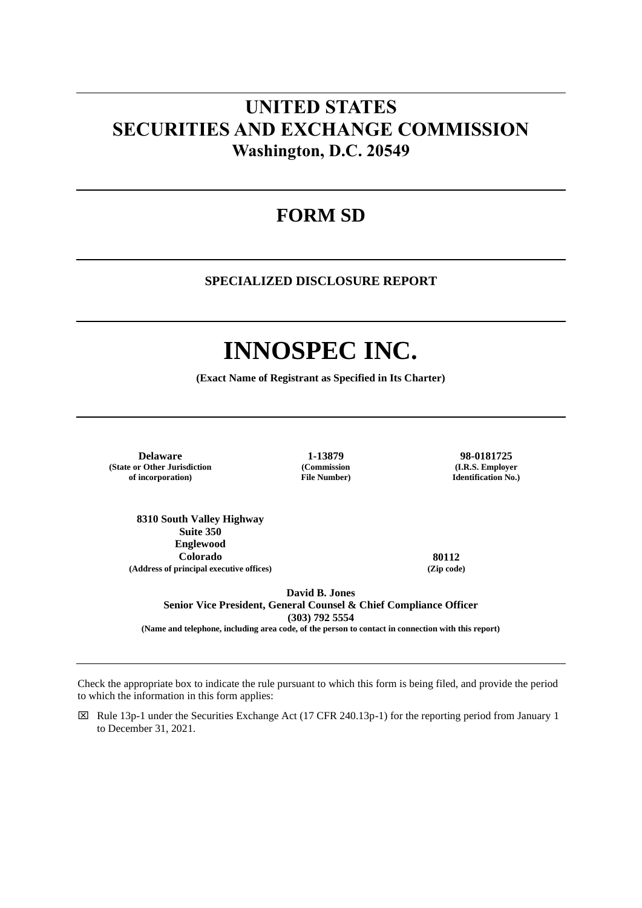# **UNITED STATES SECURITIES AND EXCHANGE COMMISSION Washington, D.C. 20549**

## **FORM SD**

## **SPECIALIZED DISCLOSURE REPORT**

# **INNOSPEC INC.**

**(Exact Name of Registrant as Specified in Its Charter)**

**Delaware 1-13879 98-0181725 (State or Other Jurisdiction of incorporation)**

**(Commission File Number)**

**(I.R.S. Employer Identification No.)**

**8310 South Valley Highway Suite 350 Englewood Colorado 80112 (Address of principal executive offices) (Zip code)**

**David B. Jones Senior Vice President, General Counsel & Chief Compliance Officer (303) 792 5554** 

**(Name and telephone, including area code, of the person to contact in connection with this report)** 

Check the appropriate box to indicate the rule pursuant to which this form is being filed, and provide the period to which the information in this form applies:

 $\boxtimes$  Rule 13p-1 under the Securities Exchange Act (17 CFR 240.13p-1) for the reporting period from January 1 to December 31, 2021.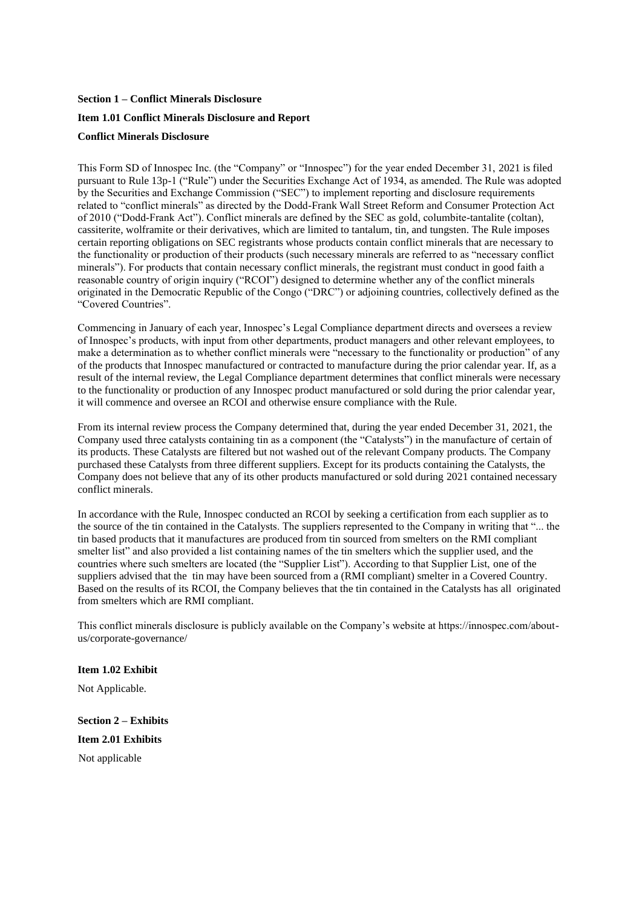## **Section 1 – Conflict Minerals Disclosure Item 1.01 Conflict Minerals Disclosure and Report Conflict Minerals Disclosure**

This Form SD of Innospec Inc. (the "Company" or "Innospec") for the year ended December 31, 2021 is filed pursuant to Rule 13p-1 ("Rule") under the Securities Exchange Act of 1934, as amended. The Rule was adopted by the Securities and Exchange Commission ("SEC") to implement reporting and disclosure requirements related to "conflict minerals" as directed by the Dodd-Frank Wall Street Reform and Consumer Protection Act of 2010 ("Dodd-Frank Act"). Conflict minerals are defined by the SEC as gold, columbite-tantalite (coltan), cassiterite, wolframite or their derivatives, which are limited to tantalum, tin, and tungsten. The Rule imposes certain reporting obligations on SEC registrants whose products contain conflict minerals that are necessary to the functionality or production of their products (such necessary minerals are referred to as "necessary conflict minerals"). For products that contain necessary conflict minerals, the registrant must conduct in good faith a reasonable country of origin inquiry ("RCOI") designed to determine whether any of the conflict minerals originated in the Democratic Republic of the Congo ("DRC") or adjoining countries, collectively defined as the "Covered Countries".

### Commencing in January of each year, Innospec's Legal Compliance department directs and oversees a review of Innospec's products, with input from other departments, product managers and other relevant employees, to make a determination as to whether conflict minerals were "necessary to the functionality or production" of any of the products that Innospec manufactured or contracted to manufacture during the prior calendar year. If, as a result of the internal review, the Legal Compliance department determines that conflict minerals were necessary to the functionality or production of any Innospec product manufactured or sold during the prior calendar year, it will commence and oversee an RCOI and otherwise ensure compliance with the Rule.

From its internal review process the Company determined that, during the year ended December 31, 2021, the Company used three catalysts containing tin as a component (the "Catalysts") in the manufacture of certain of its products. These Catalysts are filtered but not washed out of the relevant Company products. The Company purchased these Catalysts from three different suppliers. Except for its products containing the Catalysts, the Company does not believe that any of its other products manufactured or sold during 2021 contained necessary conflict minerals.

In accordance with the Rule, Innospec conducted an RCOI by seeking a certification from each supplier as to the source of the tin contained in the Catalysts. The suppliers represented to the Company in writing that "... the tin based products that it manufactures are produced from tin sourced from smelters on the RMI compliant smelter list" and also provided a list containing names of the tin smelters which the supplier used, and the countries where such smelters are located (the "Supplier List"). According to that Supplier List, one of the suppliers advised that the tin may have been sourced from a (RMI compliant) smelter in a Covered Country. Based on the results of its RCOI, the Company believes that the tin contained in the Catalysts has all originated from smelters which are RMI compliant.

This conflict minerals disclosure is publicly available on the Company's website at https://innospec.com/aboutus/corporate-governance/

## **Item 1.02 Exhibit**

Not Applicable.

**Section 2 – Exhibits Item 2.01 Exhibits**  Not applicable